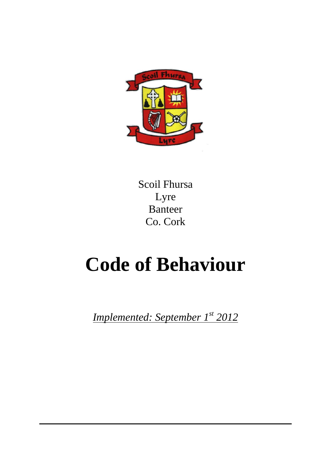

Scoil Fhursa Lyre Banteer Co. Cork

# **Code of Behaviour**

*Implemented: September 1st 2012*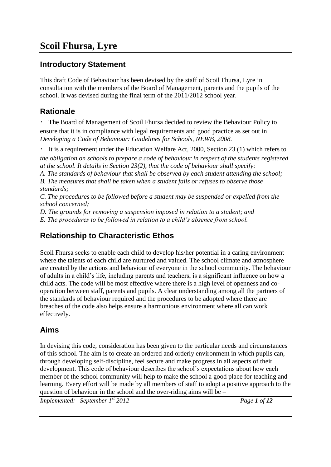### **Introductory Statement**

This draft Code of Behaviour has been devised by the staff of Scoil Fhursa, Lyre in consultation with the members of the Board of Management, parents and the pupils of the school. It was devised during the final term of the 2011/2012 school year.

### **Rationale**

The Board of Management of Scoil Fhursa decided to review the Behaviour Policy to ensure that it is in compliance with legal requirements and good practice as set out in *Developing a Code of Behaviour: Guidelines for Schools, NEWB, 2008.*

It is a requirement under the Education Welfare Act, 2000, Section 23 (1) which refers to *the obligation on schools to prepare a code of behaviour in respect of the students registered* 

*at the school. It details in Section 23(2), that the code of behaviour shall specify:*

*A. The standards of behaviour that shall be observed by each student attending the school; B. The measures that shall be taken when a student fails or refuses to observe those standards;*

*C. The procedures to be followed before a student may be suspended or expelled from the school concerned;*

*D. The grounds for removing a suspension imposed in relation to a student; and*

*E. The procedures to be followed in relation to a child's absence from school.*

# **Relationship to Characteristic Ethos**

Scoil Fhursa seeks to enable each child to develop his/her potential in a caring environment where the talents of each child are nurtured and valued. The school climate and atmosphere are created by the actions and behaviour of everyone in the school community. The behaviour of adults in a child's life, including parents and teachers, is a significant influence on how a child acts. The code will be most effective where there is a high level of openness and cooperation between staff, parents and pupils. A clear understanding among all the partners of the standards of behaviour required and the procedures to be adopted where there are breaches of the code also helps ensure a harmonious environment where all can work effectively.

### **Aims**

In devising this code, consideration has been given to the particular needs and circumstances of this school. The aim is to create an ordered and orderly environment in which pupils can, through developing self-discipline, feel secure and make progress in all aspects of their development. This code of behaviour describes the school's expectations about how each member of the school community will help to make the school a good place for teaching and learning. Every effort will be made by all members of staff to adopt a positive approach to the question of behaviour in the school and the over-riding aims will be –

*Implemented: September 1st 2012 Page 1 of 12*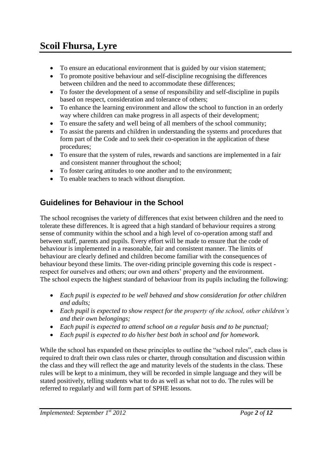- To ensure an educational environment that is guided by our vision statement;
- To promote positive behaviour and self-discipline recognising the differences between children and the need to accommodate these differences;
- To foster the development of a sense of responsibility and self-discipline in pupils based on respect, consideration and tolerance of others;
- To enhance the learning environment and allow the school to function in an orderly way where children can make progress in all aspects of their development;
- To ensure the safety and well being of all members of the school community;
- To assist the parents and children in understanding the systems and procedures that form part of the Code and to seek their co-operation in the application of these procedures;
- To ensure that the system of rules, rewards and sanctions are implemented in a fair and consistent manner throughout the school;
- To foster caring attitudes to one another and to the environment;
- To enable teachers to teach without disruption.

# **Guidelines for Behaviour in the School**

The school recognises the variety of differences that exist between children and the need to tolerate these differences. It is agreed that a high standard of behaviour requires a strong sense of community within the school and a high level of co-operation among staff and between staff, parents and pupils. Every effort will be made to ensure that the code of behaviour is implemented in a reasonable, fair and consistent manner. The limits of behaviour are clearly defined and children become familiar with the consequences of behaviour beyond these limits. The over-riding principle governing this code is respect respect for ourselves and others; our own and others' property and the environment. The school expects the highest standard of behaviour from its pupils including the following:

- *Each pupil is expected to be well behaved and show consideration for other children and adults;*
- *Each pupil is expected to show respect for the property of the school, other children's and their own belongings;*
- *Each pupil is expected to attend school on a regular basis and to be punctual;*
- *Each pupil is expected to do his/her best both in school and for homework.*

While the school has expanded on these principles to outline the "school rules", each class is required to draft their own class rules or charter, through consultation and discussion within the class and they will reflect the age and maturity levels of the students in the class. These rules will be kept to a minimum, they will be recorded in simple language and they will be stated positively, telling students what to do as well as what not to do. The rules will be referred to regularly and will form part of SPHE lessons.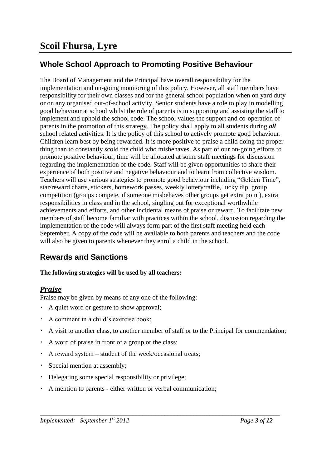# **Whole School Approach to Promoting Positive Behaviour**

The Board of Management and the Principal have overall responsibility for the implementation and on-going monitoring of this policy. However, all staff members have responsibility for their own classes and for the general school population when on yard duty or on any organised out-of-school activity. Senior students have a role to play in modelling good behaviour at school whilst the role of parents is in supporting and assisting the staff to implement and uphold the school code. The school values the support and co-operation of parents in the promotion of this strategy. The policy shall apply to all students during *all*  school related activities. It is the policy of this school to actively promote good behaviour. Children learn best by being rewarded. It is more positive to praise a child doing the proper thing than to constantly scold the child who misbehaves. As part of our on-going efforts to promote positive behaviour, time will be allocated at some staff meetings for discussion regarding the implementation of the code. Staff will be given opportunities to share their experience of both positive and negative behaviour and to learn from collective wisdom. Teachers will use various strategies to promote good behaviour including "Golden Time", star/reward charts, stickers, homework passes, weekly lottery/raffle, lucky dip, group competition (groups compete, if someone misbehaves other groups get extra point), extra responsibilities in class and in the school, singling out for exceptional worthwhile achievements and efforts, and other incidental means of praise or reward. To facilitate new members of staff become familiar with practices within the school, discussion regarding the implementation of the code will always form part of the first staff meeting held each September. A copy of the code will be available to both parents and teachers and the code will also be given to parents whenever they enrol a child in the school.

# **Rewards and Sanctions**

### **The following strategies will be used by all teachers:**

### *Praise*

Praise may be given by means of any one of the following:

- A quiet word or gesture to show approval;
- A comment in a child's exercise book;
- A visit to another class, to another member of staff or to the Principal for commendation;
- A word of praise in front of a group or the class;
- A reward system student of the week/occasional treats;
- Special mention at assembly;
- Delegating some special responsibility or privilege;
- A mention to parents either written or verbal communication;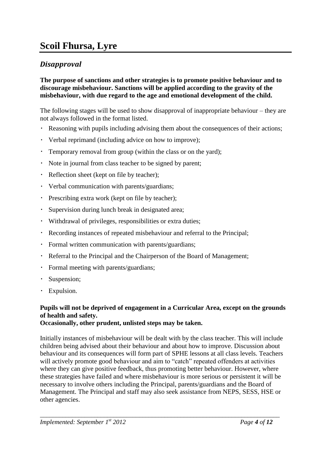### *Disapproval*

#### **The purpose of sanctions and other strategies is to promote positive behaviour and to discourage misbehaviour. Sanctions will be applied according to the gravity of the misbehaviour, with due regard to the age and emotional development of the child.**

The following stages will be used to show disapproval of inappropriate behaviour – they are not always followed in the format listed.

- $\bullet$  . Reasoning with pupils including advising them about the consequences of their actions;
- $\bullet$  . Verbal reprimand (including advice on how to improve);
- Temporary removal from group (within the class or on the yard);
- Note in journal from class teacher to be signed by parent;
- Reflection sheet (kept on file by teacher);
- Verbal communication with parents/guardians;
- Prescribing extra work (kept on file by teacher);
- $\bullet$  . Supervision during lunch break in designated area;
- Withdrawal of privileges, responsibilities or extra duties;
- Recording instances of repeated misbehaviour and referral to the Principal;
- Formal written communication with parents/guardians;
- Referral to the Principal and the Chairperson of the Board of Management;
- Formal meeting with parents/guardians;  $\bullet$  .
- Suspension;
- Expulsion.

### **Pupils will not be deprived of engagement in a Curricular Area, except on the grounds of health and safety.**

#### **Occasionally, other prudent, unlisted steps may be taken.**

Initially instances of misbehaviour will be dealt with by the class teacher. This will include children being advised about their behaviour and about how to improve. Discussion about behaviour and its consequences will form part of SPHE lessons at all class levels. Teachers will actively promote good behaviour and aim to "catch" repeated offenders at activities where they can give positive feedback, thus promoting better behaviour. However, where these strategies have failed and where misbehaviour is more serious or persistent it will be necessary to involve others including the Principal, parents/guardians and the Board of Management. The Principal and staff may also seek assistance from NEPS, SESS, HSE or other agencies.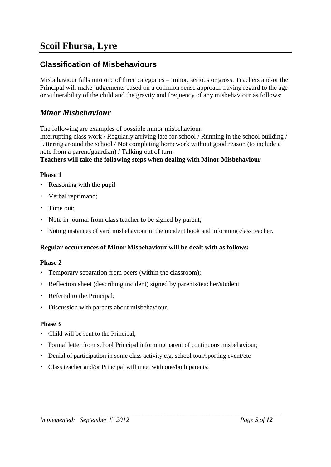### **Classification of Misbehaviours**

Misbehaviour falls into one of three categories – minor, serious or gross. Teachers and/or the Principal will make judgements based on a common sense approach having regard to the age or vulnerability of the child and the gravity and frequency of any misbehaviour as follows:

### *Minor Misbehaviour*

The following are examples of possible minor misbehaviour:

Interrupting class work / Regularly arriving late for school / Running in the school building / Littering around the school / Not completing homework without good reason (to include a note from a parent/guardian) / Talking out of turn.

#### **Teachers will take the following steps when dealing with Minor Misbehaviour**

#### **Phase 1**

- Reasoning with the pupil
- Verbal reprimand;
- Time out:
- Note in journal from class teacher to be signed by parent;
- Noting instances of yard misbehaviour in the incident book and informing class teacher.

#### **Regular occurrences of Minor Misbehaviour will be dealt with as follows:**

#### **Phase 2**

- $\bullet$  . Temporary separation from peers (within the classroom);
- Reflection sheet (describing incident) signed by parents/teacher/student
- $\bullet$  . Referral to the Principal;
- Discussion with parents about misbehaviour.

#### **Phase 3**

- Child will be sent to the Principal;
- Formal letter from school Principal informing parent of continuous misbehaviour;

- Denial of participation in some class activity e.g. school tour/sporting event/etc
- Class teacher and/or Principal will meet with one/both parents;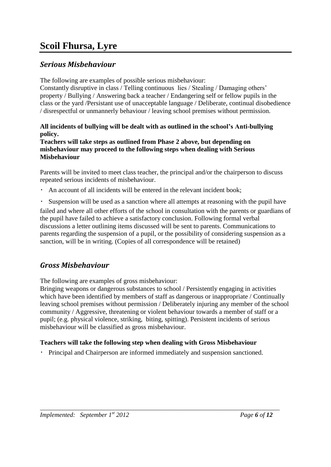### *Serious Misbehaviour*

The following are examples of possible serious misbehaviour:

Constantly disruptive in class / Telling continuous lies / Stealing / Damaging others' property / Bullying / Answering back a teacher / Endangering self or fellow pupils in the class or the yard /Persistant use of unacceptable language / Deliberate, continual disobedience / disrespectful or unmannerly behaviour / leaving school premises without permission.

### **All incidents of bullying will be dealt with as outlined in the school's Anti-bullying policy.**

**Teachers will take steps as outlined from Phase 2 above, but depending on misbehaviour may proceed to the following steps when dealing with Serious Misbehaviour**

Parents will be invited to meet class teacher, the principal and/or the chairperson to discuss repeated serious incidents of misbehaviour.

- An account of all incidents will be entered in the relevant incident book;
- Suspension will be used as a sanction where all attempts at reasoning with the pupil have

failed and where all other efforts of the school in consultation with the parents or guardians of the pupil have failed to achieve a satisfactory conclusion. Following formal verbal discussions a letter outlining items discussed will be sent to parents. Communications to parents regarding the suspension of a pupil, or the possibility of considering suspension as a sanction, will be in writing. (Copies of all correspondence will be retained)

# *Gross Misbehaviour*

The following are examples of gross misbehaviour:

Bringing weapons or dangerous substances to school / Persistently engaging in activities which have been identified by members of staff as dangerous or inappropriate / Continually leaving school premises without permission / Deliberately injuring any member of the school community / Aggressive, threatening or violent behaviour towards a member of staff or a pupil; (e.g. physical violence, striking, biting, spitting). Persistent incidents of serious misbehaviour will be classified as gross misbehaviour.

### **Teachers will take the following step when dealing with Gross Misbehaviour**

Principal and Chairperson are informed immediately and suspension sanctioned.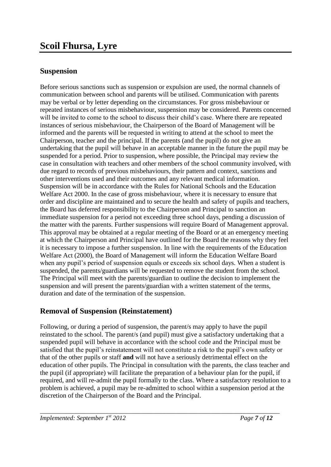### **Suspension**

Before serious sanctions such as suspension or expulsion are used, the normal channels of communication between school and parents will be utilised. Communication with parents may be verbal or by letter depending on the circumstances. For gross misbehaviour or repeated instances of serious misbehaviour, suspension may be considered. Parents concerned will be invited to come to the school to discuss their child's case. Where there are repeated instances of serious misbehaviour, the Chairperson of the Board of Management will be informed and the parents will be requested in writing to attend at the school to meet the Chairperson, teacher and the principal. If the parents (and the pupil) do not give an undertaking that the pupil will behave in an acceptable manner in the future the pupil may be suspended for a period. Prior to suspension, where possible, the Principal may review the case in consultation with teachers and other members of the school community involved, with due regard to records of previous misbehaviours, their pattern and context, sanctions and other interventions used and their outcomes and any relevant medical information. Suspension will be in accordance with the Rules for National Schools and the Education Welfare Act 2000. In the case of gross misbehaviour, where it is necessary to ensure that order and discipline are maintained and to secure the health and safety of pupils and teachers, the Board has deferred responsibility to the Chairperson and Principal to sanction an immediate suspension for a period not exceeding three school days, pending a discussion of the matter with the parents. Further suspensions will require Board of Management approval. This approval may be obtained at a regular meeting of the Board or at an emergency meeting at which the Chairperson and Principal have outlined for the Board the reasons why they feel it is necessary to impose a further suspension. In line with the requirements of the Education Welfare Act (2000), the Board of Management will inform the Education Welfare Board when any pupil's period of suspension equals or exceeds six school days. When a student is suspended, the parents/guardians will be requested to remove the student from the school. The Principal will meet with the parents/guardian to outline the decision to implement the suspension and will present the parents/guardian with a written statement of the terms, duration and date of the termination of the suspension.

### **Removal of Suspension (Reinstatement)**

Following, or during a period of suspension, the parent/s may apply to have the pupil reinstated to the school. The parent/s (and pupil) must give a satisfactory undertaking that a suspended pupil will behave in accordance with the school code and the Principal must be satisfied that the pupil's reinstatement will not constitute a risk to the pupil's own safety or that of the other pupils or staff **and** will not have a seriously detrimental effect on the education of other pupils. The Principal in consultation with the parents, the class teacher and the pupil (if appropriate) will facilitate the preparation of a behaviour plan for the pupil, if required, and will re-admit the pupil formally to the class. Where a satisfactory resolution to a problem is achieved, a pupil may be re-admitted to school within a suspension period at the discretion of the Chairperson of the Board and the Principal.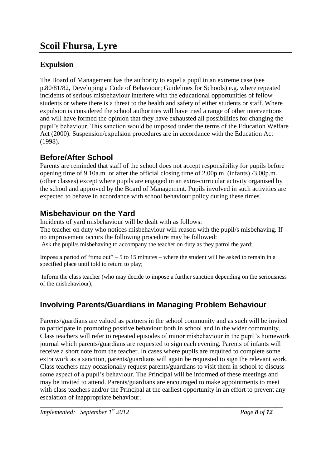## **Expulsion**

The Board of Management has the authority to expel a pupil in an extreme case (see p.80/81/82, Developing a Code of Behaviour; Guidelines for Schools) e.g. where repeated incidents of serious misbehaviour interfere with the educational opportunities of fellow students or where there is a threat to the health and safety of either students or staff. Where expulsion is considered the school authorities will have tried a range of other interventions and will have formed the opinion that they have exhausted all possibilities for changing the pupil's behaviour. This sanction would be imposed under the terms of the Education Welfare Act (2000). Suspension/expulsion procedures are in accordance with the Education Act (1998).

### **Before/After School**

Parents are reminded that staff of the school does not accept responsibility for pupils before opening time of 9.10a.m. or after the official closing time of 2.00p.m. (infants) /3.00p.m. (other classes) except where pupils are engaged in an extra-curricular activity organised by the school and approved by the Board of Management. Pupils involved in such activities are expected to behave in accordance with school behaviour policy during these times.

# **Misbehaviour on the Yard**

Incidents of yard misbehaviour will be dealt with as follows: The teacher on duty who notices misbehaviour will reason with the pupil/s misbehaving. If no improvement occurs the following procedure may be followed: Ask the pupil/s misbehaving to accompany the teacher on duty as they patrol the yard;

Impose a period of "time out"  $-5$  to 15 minutes – where the student will be asked to remain in a specified place until told to return to play;

Inform the class teacher (who may decide to impose a further sanction depending on the seriousness of the misbehaviour);

# **Involving Parents/Guardians in Managing Problem Behaviour**

Parents/guardians are valued as partners in the school community and as such will be invited to participate in promoting positive behaviour both in school and in the wider community. Class teachers will refer to repeated episodes of minor misbehaviour in the pupil's homework journal which parents/guardians are requested to sign each evening. Parents of infants will receive a short note from the teacher. In cases where pupils are required to complete some extra work as a sanction, parents/guardians will again be requested to sign the relevant work. Class teachers may occasionally request parents/guardians to visit them in school to discuss some aspect of a pupil's behaviour. The Principal will be informed of these meetings and may be invited to attend. Parents/guardians are encouraged to make appointments to meet with class teachers and/or the Principal at the earliest opportunity in an effort to prevent any escalation of inappropriate behaviour.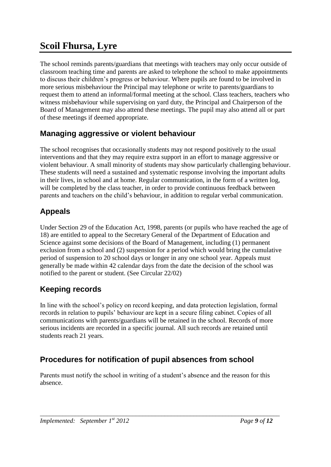The school reminds parents/guardians that meetings with teachers may only occur outside of classroom teaching time and parents are asked to telephone the school to make appointments to discuss their children's progress or behaviour. Where pupils are found to be involved in more serious misbehaviour the Principal may telephone or write to parents/guardians to request them to attend an informal/formal meeting at the school. Class teachers, teachers who witness misbehaviour while supervising on yard duty, the Principal and Chairperson of the Board of Management may also attend these meetings. The pupil may also attend all or part of these meetings if deemed appropriate.

# **Managing aggressive or violent behaviour**

The school recognises that occasionally students may not respond positively to the usual interventions and that they may require extra support in an effort to manage aggressive or violent behaviour. A small minority of students may show particularly challenging behaviour. These students will need a sustained and systematic response involving the important adults in their lives, in school and at home. Regular communication, in the form of a written log, will be completed by the class teacher, in order to provide continuous feedback between parents and teachers on the child's behaviour, in addition to regular verbal communication.

# **Appeals**

Under Section 29 of the Education Act, 1998, parents (or pupils who have reached the age of 18) are entitled to appeal to the Secretary General of the Department of Education and Science against some decisions of the Board of Management, including (1) permanent exclusion from a school and (2) suspension for a period which would bring the cumulative period of suspension to 20 school days or longer in any one school year. Appeals must generally be made within 42 calendar days from the date the decision of the school was notified to the parent or student. (See Circular 22/02)

# **Keeping records**

In line with the school's policy on record keeping, and data protection legislation, formal records in relation to pupils' behaviour are kept in a secure filing cabinet. Copies of all communications with parents/guardians will be retained in the school. Records of more serious incidents are recorded in a specific journal. All such records are retained until students reach 21 years.

# **Procedures for notification of pupil absences from school**

Parents must notify the school in writing of a student's absence and the reason for this absence.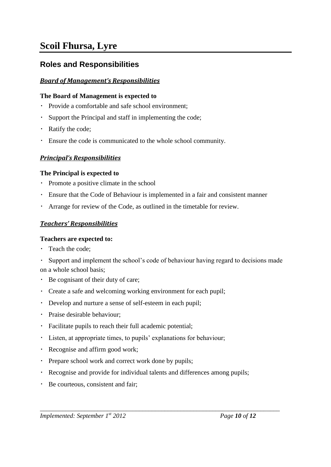### **Roles and Responsibilities**

### *Board of Management's Responsibilities*

#### **The Board of Management is expected to**

- Provide a comfortable and safe school environment;
- Support the Principal and staff in implementing the code;
- Ratify the code;
- $\bullet$  . Ensure the code is communicated to the whole school community.

### *Principal's Responsibilities*

#### **The Principal is expected to**

- Promote a positive climate in the school
- $\ddot{\phantom{0}}$ Ensure that the Code of Behaviour is implemented in a fair and consistent manner
- $\bullet$ Arrange for review of the Code, as outlined in the timetable for review.

#### *Teachers' Responsibilities*

#### **Teachers are expected to:**

Teach the code;

 $\bullet$ Support and implement the school's code of behaviour having regard to decisions made on a whole school basis;

- Be cognisant of their duty of care;
- Create a safe and welcoming working environment for each pupil;
- Develop and nurture a sense of self-esteem in each pupil;
- Praise desirable behaviour;
- Facilitate pupils to reach their full academic potential;
- Listen, at appropriate times, to pupils' explanations for behaviour;
- Recognise and affirm good work;
- Prepare school work and correct work done by pupils;
- Recognise and provide for individual talents and differences among pupils;
- Be courteous, consistent and fair;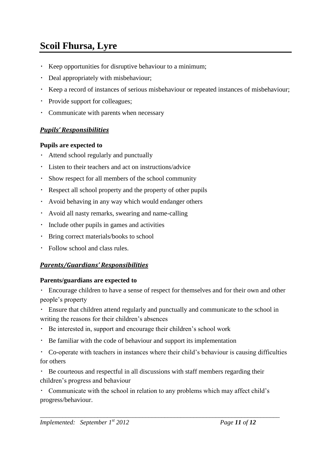- Keep opportunities for disruptive behaviour to a minimum;
- Deal appropriately with misbehaviour;
- Keep a record of instances of serious misbehaviour or repeated instances of misbehaviour;
- Provide support for colleagues;
- $\bullet$ Communicate with parents when necessary

### *Pupils' Responsibilities*

#### **Pupils are expected to**

- Attend school regularly and punctually
- Listen to their teachers and act on instructions/advice
- Show respect for all members of the school community
- Respect all school property and the property of other pupils
- Avoid behaving in any way which would endanger others
- Avoid all nasty remarks, swearing and name-calling
- Include other pupils in games and activities
- $\bullet$  . Bring correct materials/books to school
- Follow school and class rules.

### *Parents/Guardians' Responsibilities*

#### **Parents/guardians are expected to**

 $\bullet$  . Encourage children to have a sense of respect for themselves and for their own and other people's property

Ensure that children attend regularly and punctually and communicate to the school in writing the reasons for their children's absences

- Be interested in, support and encourage their children's school work
- Be familiar with the code of behaviour and support its implementation  $\bullet$
- Co-operate with teachers in instances where their child's behaviour is causing difficulties for others

Be courteous and respectful in all discussions with staff members regarding their children's progress and behaviour

Communicate with the school in relation to any problems which may affect child's progress/behaviour.